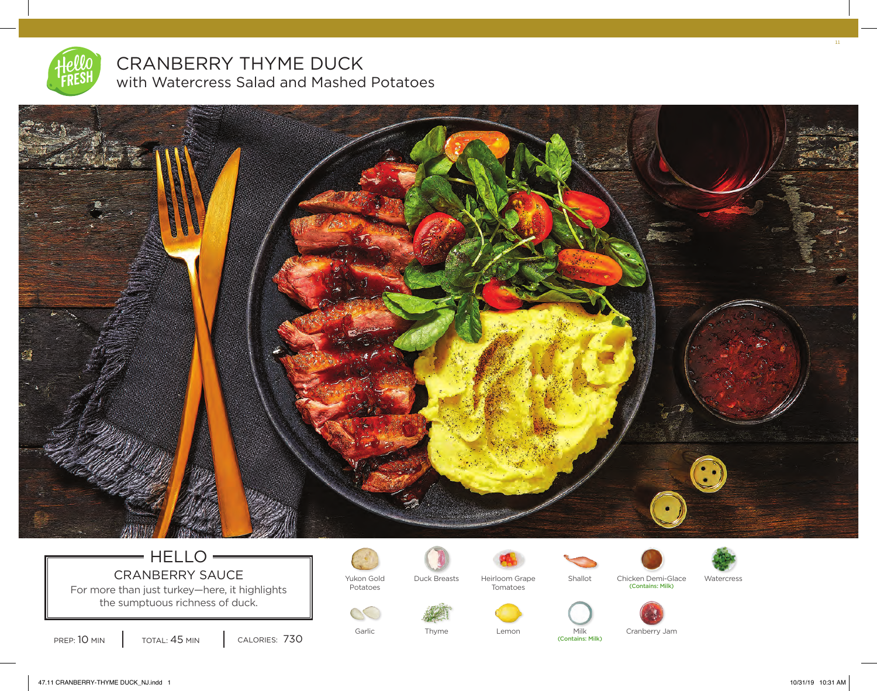

CRANBERRY THYME DUCK with Watercress Salad and Mashed Potatoes



## $=$  HELLO  $=$ CRANBERRY SAUCE Vukon Gold For more than just turkey—here, it highlights

the sumptuous richness of duck.





Potatoes



Heirloom Grape Tomatoes



(Contains: Milk)



Duck Breasts Heirloom Grape Shallot Chicken Demi-Glace Watercress<br>Tomatoes Shallot Contains: Milk)



Garlic Thyme Lemon Milk Cranberry Jam

11